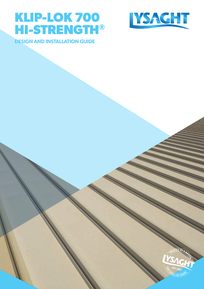# **KLIP-LOK 700 HI-STRENGTH®**



**DESIGN AND INSTALLATION GUIDE**

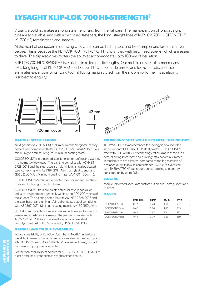# **LYSAGHT KLIP-LOK 700 HI-STRENGTH®**

Visually, a bold rib makes a strong statement rising from the flat pans. Thermal expansion of long, straight runs are achievable, and with no exposed fasteners, the long, straight lines of KLIP-LOK 700 HI-STRENGTH® (KL-700HS) remain clean and smooth.

At the heart of our system is our fixing clip, which can be laid in place and fixed simpler and faster than ever before. This is because the KLIP-LOK 700 HI-STRENGTH® clip is fixed with hex. Head screws, which are easier to drive. The clip also gives roofers the ability to accommodate up to 100mm of insulation.

KLIP-LOK 700 HI-STRENGTH® is available in rolled-on-site lengths. Our mobile on-site rollformer means extra long lengths of KLIP-LOK 700 HI-STRENGTH® can be made on-site and looks fantastic and also eliminates expansion joints. Longitudinal fluting manufactured from the mobile rollformer. Its availability is subject to enquiry.



# **MATERIAL SPECIFICATIONS**

Next generation ZINCALUME® aluminium/zinc/magnesium alloy coated steel complies with AS 1397:2011 G550, AM125 (550 MPa minimum yield stress,  $125g/m^2$  minimum coating mass).

COLORBOND® is pre-painted steel for exterior roofing and walling. It is the most widely used. The painting complies with AS/NZS 2728:2013 and the steel base is an aluminium/zinc alloy-coated steel complying with AS 1397:2011. Minimum yield strengths is G550 (550 MPa). Minimum coating mass is AM100 (100g/m2 ).

COLORBOND® Metallic is pre-painted steel for superior aesthetic qualities displaying a metallic sheen.

COLORBOND® Ultra is pre-painted steel for severe coastal or industrial environments (generally within about 100-200 metres of the source). The painting complies with AS/NZS 2728:2013 and the steel base is an aluminium/zinc alloy-coated steel complying with AS 1397:2011. Minimum coating mass is AM150 (150g/m2 ).

SUPERDURA™ Stainless steel is a pre-painted steel and is used for severe and coastal environments. The painting complies with AS/NZS 2728:2013 and the steel base is a stainless steel complying with AISI/ASTM Type 430; UNS No. S43000.

# **MATERIAL AND COLOUR AVAILABILITY**

For local availability of KLIP-LOK 700 HI-STRENGTH® in the base metal thicknesses or the large range of available finishes (from plain ZINCALUME® steel to COLORBOND® pre-painted steel), contact your nearest Lysaght service centre.

For the local availability of colours for KLIP-LOK 700 HI-STRENGTH® please enquire at your nearest Lysaght service centre.

# **COLORBOND® STEEL WITH THERMATECH® TECHNOLOGY**

THERMATECH® solar reflectance technology is now included in the standard COLORBOND® steel palette. COLORBOND® steel with THERMATECH® technology reflects more of the sun's heat, allowing both roofs and buildings stay cooler in summer. In moderate to hot climates, compared to roofing materials of similar colour with low solar reflectance, COLORBOND® steel with THERMATECH® can reduce annual cooling and energy consumption by up to 20%.

#### **LENGTHS**

Mobile rollformed sheets are custom cut on-site. Factory sheets cut to order.

#### **MASSES**

|                              | BMT (mm) | kg/m | kg/m <sup>2</sup> | $m^2/t$ |
|------------------------------|----------|------|-------------------|---------|
| 7INCAIUMF <sup>®</sup> steel | 0.42     | 323  | 4.61              | 21/     |
| COI ORBOND® steel            | 0.42     | 326  | 4 65              | 215     |
| 7INCALUME <sup>®</sup> steel | 0.48     | 3.67 | 5 24              | 191     |
| COI ORBOND® steel            | O 48     | 3 70 | 528               | 189     |
|                              |          |      |                   |         |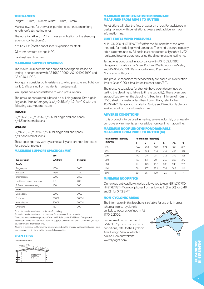#### **TOLERANCES**

Length: + 0mm, – 15mm; Width: + 4mm, – 4mm

Make allowance for thermal expansion or contraction for long length roofs at sheeting ends.

The equation  $\Delta L = \alpha \times \Delta T \times L$  gives an indication of the sheeting extent or contraction (ΔL).

 $\alpha$  = 12 x 10<sup>-6</sup> (coefficient of linear expansion for steel)

 $\Delta T$  = temperature change in  $^{\circ}C$ 

 $L =$  sheet length in mm

# **MAXIMUM SUPPORT SPACINGS**

The maximum recommended support spacings are based on testing in accordance with AS 1562.1-1992, AS 4040.0-1992 and AS 4040.1-1992.

Roof spans consider both resistance to wind pressure and light roof traffic (traffic arising from incidental maintenance).

Wall spans consider resistance to wind pressure only.

The pressure considered is based on buildings up to 10m high in Region B, Terrain Category 3,  $M_{\textrm{s}}$ =0.85, M<sub>i</sub>=1.0, M<sub>t</sub>=1.0 with the following assumptions made:

### **ROOFS:**

 $C_{pi}$  =+0.20,  $C_{pe}$  =-0.90, K<sub>1</sub>=2.0 for single and end spans,  $K$ =1.5 for internal spans.

#### **WALLS:**

 $C_{pi}$ =0.20,  $C_{pe}$ =-0.65, K<sub>l</sub>=2.0 for single and end spans,  $K=1.5$  for internal spans.

These spacings may vary by serviceability and strength limit states for particular projects.

## **MAXIMUM SUPPORT SPACINGS (MM)**

|                            | <b>BMT</b> |                    |
|----------------------------|------------|--------------------|
| <b>Type of Span</b>        | $0.42$ mm  | 0.48 <sub>mm</sub> |
| <b>Roofs</b>               |            |                    |
| Single span                | 1650       | 2050               |
| End span                   | 1750       | 2350               |
| Internal span              | 2200       | 2800               |
| Unstiffened eaves overhang | 150        | 200                |
| Stiffened eaves overhang   | 450        | 500                |
| <b>Walls</b>               |            |                    |
| Single span                | 2600       | 3000               |
| End span                   | 3000#      | 3000#              |
| Internal span              | 3000#      | 3000#              |
| Overhang                   | 150        | 200                |

For roofs: the data are based on foot-traffic loading.

For walls: the data are based on pressures for transverse fluted material.

Table data are based on supports of 1mm BMT. Refer to the TOPSPAN® Design and Installation Guide and Selection Tables for support thickness less than 1.0 mm BMT, or seek advice from our information line.

# Spans in excess of 3000mm may be available subject to enquiry. Wall applications or long spans require particular attention to installation practice.

#### **SPAN TYPES**



#### **MAXIMUM ROOF LENGTHS FOR DRAINAGE MEASURED FROM RIDGE TO GUTTER**

Penetrations will alter the flow of water on a roof. For assistance in design of roofs with penetrations, please seek advice from our information line.

#### **LIMIT STATES WIND PRESSURES**

KLIP-LOK 700 HI-STRENGTH® offers the full benefits of the latest methods for modelling wind pressures. The wind pressure capacity table is determined by full scale tests conducted at Lysaght's NATAregistered testing laboratory, using the direct-pressure testing rig.

Testing was conducted in accordance with AS 1562.1:1992 Design and Installation of Sheet Roof and Wall Cladding—Metal, and AS 4040.2:1992 Resistance to Wind Pressure for Non-cyclonic Regions.

The pressure capacities for serviceability are based on a deflection limit of (span/120) + (maximum fastener pitch/30).

The pressure capacities for strength have been determined by testing the cladding to failure (ultimate capacity). These pressures are applicable when the cladding is fixed to a minimum of 1.0mm, G550 steel. For material less than 1.0mm thick, refer to the TOPSPAN® Design and Installation Guide and Selection Tables, or seek advice from our information line.

# **ADVERSE CONDITIONS**

If this product is to be used in marine, severe industrial, or unusually corrosive environments, ask for advice from our information line.

# **MAXIMUM ROOF LENGTHS FOR DRAINABLE MEASURED FROM RIDGE TO GUTTER (M)**

| <b>Peak Rainfall Intensity</b> | <b>Roof Slopes (degrees)</b> |     |     |     |     |     |  |  |
|--------------------------------|------------------------------|-----|-----|-----|-----|-----|--|--|
| (mm/hr)                        |                              | 2   | 3   | 5   | 7.5 | 10  |  |  |
| 100                            | 344                          | 428 | 502 | 624 | 745 | 856 |  |  |
| 150                            | 229                          | 285 | 334 | 416 | 496 | 571 |  |  |
| 200                            | 172                          | 214 | 251 | 312 | 372 | 428 |  |  |
| 250                            | 137                          | 171 | 201 | 250 | 298 | 342 |  |  |
| 300                            | 115                          | 143 | 167 | 208 | 248 | 285 |  |  |
| 400                            | 86                           | 107 | 125 | 156 | 186 | 214 |  |  |
| 500                            | 69                           | 86  | 100 | 125 | 149 | 171 |  |  |

### **MINIMUM ROOF PITCH**

Our unique anti-capillary side-lap allows you to use KLIP-LOK 700 HI-STRENGTH<sup>®</sup> on roof pitches from as low as 1° (1 in 50) for 0.48 and 2° for 0.42 BMT.

#### **NON-CYCLONIC AREAS**

The information in this brochure is suitable for use only in areas where a tropical cyclone is

unlikely to occur as defined in AS 1170.2:2002.

For information on the use of LYSAGHT® products in cyclonic conditions, refer to the Cyclonic Area Design Manual which is available on our website: Roofing & Walling Profiles walling Profiles www.lysaght.com.

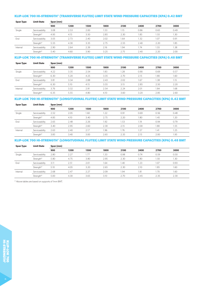# **KLIP-LOK 700 HI-STRENGTH® (TRANSVERSE FLUTES) LIMIT STATE WIND PRESSURE CAPACITIES (KPA) 0.42 BMT**

| <b>Span Type</b> | <b>Limit State</b> | Span (mm) |      |      |      |      |      |      |      |
|------------------|--------------------|-----------|------|------|------|------|------|------|------|
|                  |                    | 900       | 1200 | 1500 | 1800 | 2100 | 2400 | 2700 | 3000 |
| Single           | Serviceability     | 3.08      | 2.53 | 2.00 | 1.53 | 1.15 | 0.86 | 0.65 | 0.49 |
|                  | Strength*          | 4.95      | 4.15 | 3.50 | 2.85 | 2.30 | 1.85 | 1.55 | 1.30 |
| End              | Serviceability     | 3.05      | 2.73 | 2.40 | 2.02 | 1.64 | 1.32 | 1.07 | 0.91 |
|                  | Strength*          | 5.55      | 4.30 | 3.35 | 2.75 | 2.55 | 2.40 | 2.20 | 1.85 |
| Internal         | Serviceability     | 2.90      | 2.64 | 2.39 | 2.16 | .94  | 1.74 | 1.55 | 1.38 |
|                  | Strength*          | 5.40      | 4.60 | 3.90 | 3.25 | 2.75 | 2.40 | 2.20 | 2.00 |

# **KLIP-LOK 700 HI-STRENGTH® (TRANSVERSE FLUTES) LIMIT STATE WIND PRESSURE CAPACITIES (KPA) 0.48 BMT**

| <b>Span Type</b> | <b>Limit State</b> | Span (mm) |      |      |      |             |      |      |      |
|------------------|--------------------|-----------|------|------|------|-------------|------|------|------|
|                  |                    | 900       | 1200 | 1500 | 1800 | 2100        | 2400 | 2700 | 3000 |
| Single           | Serviceability     | 4.22      | 3.35 | 2.54 | 1.83 | <b>1.28</b> | 0.90 | 0.69 | 0.57 |
|                  | Strength*          | 6.30      | 5.20 | 4.25 | 3.35 | 2.70        | 2.15 | .80  | 1.60 |
| End              | Serviceability     | 3.81      | 3.34 | 2.88 | 2.43 | 2.02        | 1.67 | .38  | 1.15 |
|                  | Strength*          | 6.30      | 5.10 | 4.15 | 3.55 | 3.15        | 2.85 | 2.50 | 2.20 |
| Internal         | Serviceability     | 3.76      | 3.32 | 2.91 | 2.54 | 2.24        | 2.01 | i.84 | 1.68 |
|                  | Strength*          | 6.35      | 5.55 | 4.80 | 4.10 | 3.60        | 3.20 | 2.85 | 2.60 |

# **KLIP-LOK 700 HI-STRENGTH® (LONGITUDINAL FLUTES) LIMIT STATE WIND PRESSURE CAPACITIES (KPA) 0.42 BMT**

| <b>Span Type</b> | <b>Limit State</b> | Span (mm) |      |      |      |      |      |      |      |
|------------------|--------------------|-----------|------|------|------|------|------|------|------|
|                  |                    | 900       | 1200 | 1500 | 1800 | 2100 | 2400 | 2700 | 3000 |
| Single           | Serviceability     | 2.52      | 2.05 | 1.60 | 1.22 | 0.91 | 0.69 | 0.56 | 0.48 |
|                  | Strength*          | 4.85      | 4.10 | 3.40 | 2.75 | 2.20 | 1.80 | 1.45 | 1.20 |
| End              | Serviceability     | 2.65      | 2.48 | 2.26 | 1.92 | .53  | 1.19 | 0.94 | 0.79 |
|                  | Strength*          | 3.40      | 2.95 | 2.60 | 2.30 | 2.15 | 2.00 | 1.80 | 1.55 |
| Internal         | Serviceability     | 2.63      | 2.40 | 2.17 | 1.96 | 1.76 | 1.57 | 1.41 | 1.25 |
|                  | Strength*          | 3.85      | 3.40 | 3.00 | 2.65 | 2.35 | 2.15 | 2.00 | 1.95 |

# **KLIP-LOK 700 HI-STRENGTH® (LONGITUDINAL FLUTES) LIMIT STATE WIND PRESSURE CAPACITIES (KPA) 0.48 BMT**

| <b>Span Type</b> | <b>Limit State</b> | Span (mm) |      |      |      |      |      |      |      |
|------------------|--------------------|-----------|------|------|------|------|------|------|------|
|                  |                    | 900       | 1200 | 1500 | 1800 | 2100 | 2400 | 2700 | 3000 |
| Single           | Serviceability     | 2.80      | 2.27 | .77  | 1.33 | 0.98 | 0.74 | 0.59 | 0.50 |
|                  | Strength*          | 5.80      | 4.75 | 3.80 | 2.95 | 2.30 | 1.80 | 1.50 | 1.30 |
| End              | Serviceability     | 3.11      | 2.51 | 2.01 | 1.64 | 1.40 | 1.23 | 1.07 | 0.93 |
|                  | Strength*          | 5.10      | 4.05 | 3.20 | 2.65 | 2.30 | 2.10 | 1.85 | 1.60 |
| Internal         | Serviceability     | 2.68      | 2.47 | 2.27 | 2.09 | .94  | 1.81 | 70،  | 1.60 |
|                  | Strength*          | 5.00      | 4.30 | 3.65 | 3.10 | 2.70 | 2.45 | 2.35 | 2.30 |

\* Above tables are based on supports of 1mm BMT.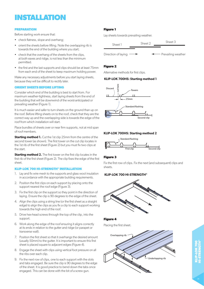# **INSTALLATION**

### **PREPARATION**

Before starting work ensure that:

- check flatness, slope and overhang;
- orient the sheets before lifting. Note the overlapping rib is towards the end of the building where you start;
- check that the overhang of the sheets from the clips, at both eaves and ridge, is not less than the minimum permitted.
- the first and the last supports and clips should be at least 75mm from each end of the sheet to keep maximum holding power.

Make any necessary adjustments before you start laying sheets, because they will be difficult to rectify later.

### **ORIENT SHEETS BEFORE LIFTING**

Consider which end of the building is best to start from. For maximum weather-tightness, start laying sheets from the end of the building that will be downwind of the worst-anticipated or prevailing weather (Figure 1).

It is much easier and safer to turn sheets on the ground than up on the roof. Before lifting sheets on to the roof, check that they are the correct way up and the overlapping side is towards the edge of the roof from which installation will start.

Place bundles of sheets over or near firm supports, not at mid span of roof members.

**Starting method 1.** Cut the 1st clip 25mm from the centre of the second tower (as shown). The first tower on the cut clip locates in the 1st rib of the first sheet (Figure 2) but you must fix two clips at the start.

**Starting method 2.** The first tower on the first clip locates in the first rib of the first sheet (Figure 2). The clip fixes the edge of the first sheet.

# **KLIP-LOK 700 HI-STRENGTH® INSTALLATION**

- 1. Lay and fix wire mesh to the supports and glass wool insulation in accordance with the appropriate building requirements.
- 2. Position the first clips on each support by placing onto the support nearest the roof edge (Figure 3).
- 3. Fix the first clip on the support so they point in the direction of laying. Ensure the clip is 90 degrees to the edge of the sheet.
- 4. Align the clips using a string line (or the first sheet as a straight edge) to align the clips as you fix a clip to each support working towards the high end of the roof.
- 5. Drive hex-head screws through the top of the clip, into the support.
- 6. Work along the edge of the roof ensuring it aligns correctly at its ends in relation to the gutter and ridge (or parapet or transverse wall).
- 7. Position the first sheet so that it overhangs the desired amount (usually 50mm) to the gutter. It is important to ensure this first sheet is placed square to adjacent edges (Figure 4).
- 8. Engage the sheet with clips using vertical foot pressure on all the ribs over each clip.
- 9. Fix the next row of clips, one to each support with the slots and tabs engaged. Be sure the clip is 90 degrees to the edge of the sheet. It is good practice to bend down the tabs once engaged. This can be done with the bit of a screw gun.

# **Figure 1**

Lay sheets towards prevailing weather.



# **Figure 2**

Alternative methods for first clips.

### **KLIP-LOK 700HS: Starting method 1**



# **KLIP-LOK 700HS: Starting method 2**



# **Figure 3**

Fix the first row of clips. Fix the next (and subsequent) clips and sheets.

# **KLIP-LOK 700 HI-STRENGTH®**



**Figure 4**

Placing the first sheet.

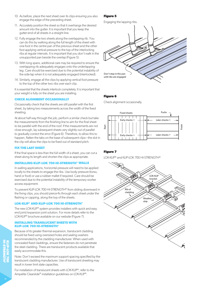- 10. As before, place the next sheet over its clips ensuring you also engage the edge of the preceding sheet.
- 11. Accurately position the sheet so that it overhangs the desired amount into the gutter. It is important that you keep the gutter-end of all sheets in a straight line.
- 12. Fully engage the two sheets along the overlapping rib. You can do this by walking along the full length of the sheet with one foot in the centre pan of the previous sheet and the other foot applying vertical pressure to the top of the interlocking ribs at regular intervals. It is important that you don't walk in the unsupported pan beside the overlap (Figure 5).
- 13. With long spans, additional care may be required to ensure the overlapping rib adequately engages onto the underlapping leg. Care should be exercised due to the potential instability of the side-lap when it is not adequately engaged (interlocked).
- 14. Similarly, engage all the clips by applying vertical foot pressure to the top of the other two ribs over each clip.

It is essential that the sheets interlock completely. It is important that your weight is fully on the sheet you are installing.

# **CHECK ALIGNMENT OCCASIONALLY**

Occasionally check that the sheets are still parallel with the first sheet, by taking two measurements across the width of the fixed sheeting.

At about half way through the job, perform a similar check but take the measurements from the finishing line to aim for the final sheet to be parallel with the end of the roof. If the measurements are not close enough, lay subsequent sheets very slightly out of parallel to gradually correct the error (Figure 6). Therefore, to allow this to happen, flatten the tabs on the base of subsequent clips—the slot in the clip will allow the clips to be fixed out of standard pitch.

# **FIX THE LAST SHEET**

If the final space is less than the full width of a sheet, you can cut a sheet along its length and shorten the clips as appropriate.

# **INSTALLING KLIP-LOK 700 HI-STRENGTH® WALLS**

In walling applications, horizontal pressure will need to be applied locally to the sheets to engage the ribs. Use body pressure (torso, hand or foot) or use a rubber mallet if required. Care should be exercised due to the potential instability of the temporary worker access equipment.

To prevent KLIP-LOK 700 HI-STRENGTH® from sliding downward in the fixing clips, you should pierce-fix through each sheet under the flashing or capping, along the top of the sheets.

# **LOK-KLIP® AND KLIP-LOK 700 HI-STRENGTH®**

The new LOK-KLIP® system provides installers with quick and easy end joint/expansion joint solution. For more details refer to the LOK-KLIP<sup>®</sup> brochure available on our website (Figure 7).

# **INSTALLING TRANSLUCENT SHEETS WITH KLIP-LOK 700 HI-STRENGTH®**

Because of its greater thermal expansion, translucent cladding should be fixed using oversized holes and sealing washers recommended by the cladding manufacturer. When used with concealed fixed claddings, ensure the fasteners do not penetrate the steel cladding. There are translucent products available that easily accommodate this.

Note: Don't exceed the maximum support spacing specified by the translucent cladding manufacturer. Use of translucent sheeting may result in lower limit state capacities.

For installation of translucent sheets with LOK-KLIP®, refer to the Ampelite Clearslide® installation guidelines on LOK-KLIP®.

# **Figure 5**

Engaging the lapping ribs.



# **Figure 6**

Check alignment occasionally.



# **Figure 7**

LOK-KLIP® and KLIP-LOK 700 HI-STRENGTH®

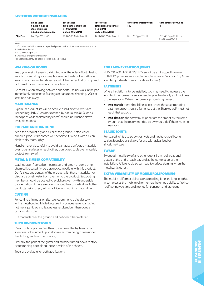#### **FASTENERS WITHOUT INSULATION**

|                   | <b>Fix to Steel</b><br>Single & lapped<br>steel thickness<br>$\geq$ 0.55 up to 1.0mm BMT | <b>Fix to Steel</b><br><b>Single steel thickness</b><br>$\geq$ 1.0mm BMT<br>up to 3.0mm BMT |                           | <b>Fix to Timber Hardwood</b><br>$ 1-13 $ | <b>Fix to Timber Softwood</b><br>14           |
|-------------------|------------------------------------------------------------------------------------------|---------------------------------------------------------------------------------------------|---------------------------|-------------------------------------------|-----------------------------------------------|
| <b>Clip Fixed</b> | RoofZips M6-11x25                                                                        | 12-14x20*, Metal Teks, HH                                                                   | 12-14x20*, Metal Teks, HH | 12-11x25, Type 17, HH                     | 12-11x45, Type 17, HH or<br>RoofZips M6-11x25 |

Notes:

1. For other steel thicknesses not specified please seek advice from screw manufacturer.

2. HH = Hex. Head.

3. Use 3 screws per clip.

4. As above or equivalent fastener.

\* Longer screws may be easier to install (e.g. 12-14x30).

#### **WALKING ON ROOFS**

Keep your weight evenly distributed over the soles of both feet to avoid concentrating your weight on either heels or toes. Always wear smooth soft-soled shoes; avoid ribbed soles that pick up and hold small stones, swarf and other objects.

Be careful when moving between supports. Do not walk in the pan immediately adjacent to flashings or translucent sheeting. Walk at least one pan away.

# **MAINTENANCE**

Optimum product life will be achieved if all external walls are washed regularly. Areas not cleaned by natural rainfall (such as the tops of walls sheltered by eaves) should be washed down every six months.

#### **STORAGE AND HANDLING**

Keep the product dry and clear of the ground. If stacked or bundled product becomes wet, separate it, wipe it with a clean cloth to dry thoroughly.

Handle materials carefully to avoid damage: don't drag materials over rough surfaces or each other; don't drag tools over material; protect from swarf.

# **METAL & TIMBER COMPATIBILITY**

Lead, copper, free carbon, bare steel and green or some other chemically-treated timbers are not compatible with this product. Don't allow any contact of the product with those materials, nor discharge of rainwater from them onto the product. Supporting members should be coated to avoid problems with underside condensation. If there are doubts about the compatibility of other products being used, ask for advice from our information line.

#### **CUTTING**

For cutting thin metal on site, we recommend a circular saw with a metal-cutting blade because it produces fewer damaging hot metal particles and leaves less resultant burr than does a carborundum disc.

Cut materials over the ground and not over other materials.

# **TURN UP-DOWN TOOLS**

On all roofs of pitches less than 15 degrees, the high end of all sheets must be turned up to stop water from being driven under the flashing and into the building.

Similarly, the pans at the gutter end must be turned down to stop water running back along the underside of the sheets.

Tools are available for both applications.

#### **END LAPS/EXPANSION JOINTS**

KLIP-LOK 700 HI-STRENGTH® cannot be end lapped however LOK-KLIP® provides an acceptable solution as an 'end joint'. (Or use long length sheets from a mobile rollformer.)

#### **FASTENERS**

Where insulation is to be installed, you may need to increase the length of the screws given, depending on the density and thickness of the insulation. When the screw is properly tightened:

- **• into metal:** there should be at least three threads protruding past the support you are fixing to, but the Shankguard® must not reach that support;
- **• into timber:** the screw must penetrate the timber by the same amount that the recommended screw would do if there were no insulation.

#### **SEALED JOINTS**

For sealed joints use screws or rivets and neutral-cure silicone sealant branded as suitable for use with galvanised or zincalume® steel.

#### **SWARF**

Sweep all metallic swarf and other debris from roof areas and gutters at the end of each day and at the completion of the installation. Failure to do so can lead to surface staining when the metal particles rust.

#### **EXTRA VERSATILITY OF MOBILE ROLLFORMING**

The mobile rollformer delivers on-site rolling for extra long lengths. In some cases the mobile rollformer has the unique ability to 'roll-toroof' saving you time and money for transport and craneage.

 $\mathord{\sim}$